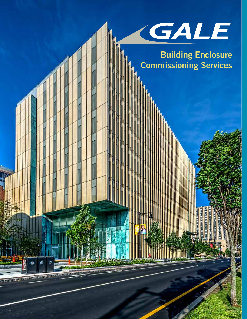

**Building Enclosure Commissioning Services**

> **MAILER MAX A STATE**

wurz

瞬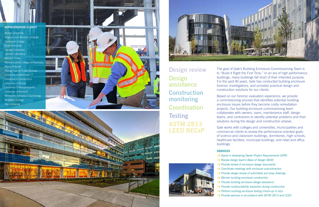The goal of Gale's Building Enclosure Commissioning Team is to "Build it Right the First Time." In an era of high-performance buildings, many buildings fall short of their intended purpose. For the past 40 years, Gale has conducted building enclosure forensic investigations, and provided practical design and construction solutions for our clients.

Based on our forensic evaluation experience, we provide a commissioning process that identifies potential building enclosure issues before they become costly remediation projects. Our building enclosure commissioning team collaborates with owners, users, maintenance staff, design teams, and contractors to identify potential problems and their solutions during the design and construction phases.

Gale works with colleges and universities, municipalities and commercial clients to review the performance-oriented goals of science and classroom buildings, dormitories, high schools, healthcare facilities, municipal buildings, and retail and office buildings.

# **SERVICES**

- **zz** *Assist in developing Owner Project Requirements (OPR) Review design team's Basis of Design (BOD) Provide review of enclosure design documents* **zzz** *Coordinate meetings with enclosure subcontractors PRIM Provide design review of submittals and shop drawings* **ZZZ** *Monitor building enclosure construction Provide building enclosure design assistance III Provide constructability resolution during construction Perform building enclosure testing (mock-up in situ)*
- 
- 
- 
- 
- 
- 
- 
- 
- 
- *Provide services in accordance with ASTM 2813 and LEED*

**Design review Design assistance Construction monitoring Coordination Testing ASTM 2813 LEED BECxP**



# **REPRESENTATIVE CLIENTS**

Boston University Brigham and Women's Hospital Dartmouth College Duke University Harvard University Jackson Laboratory Marriott Hotels Massachusetts College of Pharmacy **Mercy Hospital** Orange County Public Schools University of Baltimore University of Connecticut University of Florida University of Massachusetts University of Vermont Wentworth Institute of Technology Wheelock College Yale University